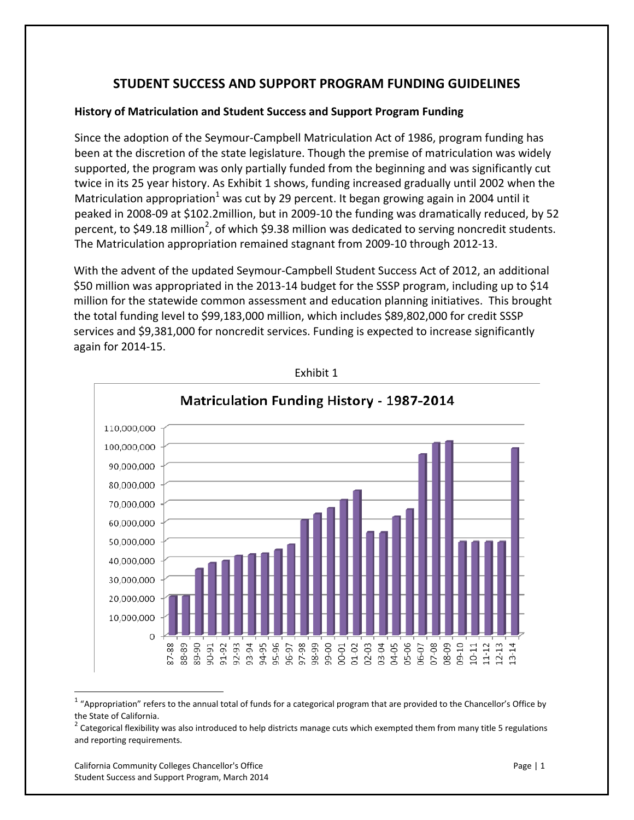# **STUDENT SUCCESS AND SUPPORT PROGRAM FUNDING GUIDELINES**

# **History of Matriculation and Student Success and Support Program Funding**

Since the adoption of the Seymour‐Campbell Matriculation Act of 1986, program funding has been at the discretion of the state legislature. Though the premise of matriculation was widely supported, the program was only partially funded from the beginning and was significantly cut twice in its 25 year history. As Exhibit 1 shows, funding increased gradually until 2002 when the Matriculation appropriation<sup>1</sup> was cut by 29 percent. It began growing again in 2004 until it peaked in 2008‐09 at \$102.2million, but in 2009‐10 the funding was dramatically reduced, by 52 percent, to \$49.18 million<sup>2</sup>, of which \$9.38 million was dedicated to serving noncredit students. The Matriculation appropriation remained stagnant from 2009‐10 through 2012‐13.

With the advent of the updated Seymour‐Campbell Student Success Act of 2012, an additional \$50 million was appropriated in the 2013-14 budget for the SSSP program, including up to \$14 million for the statewide common assessment and education planning initiatives. This brought the total funding level to \$99,183,000 million, which includes \$89,802,000 for credit SSSP services and \$9,381,000 for noncredit services. Funding is expected to increase significantly again for 2014‐15.



Exhibit 1

 $1$  "Appropriation" refers to the annual total of funds for a categorical program that are provided to the Chancellor's Office by

the State of California.<br><sup>2</sup> Categorical flexibility was also introduced to help districts manage cuts which exempted them from many title 5 regulations and reporting requirements.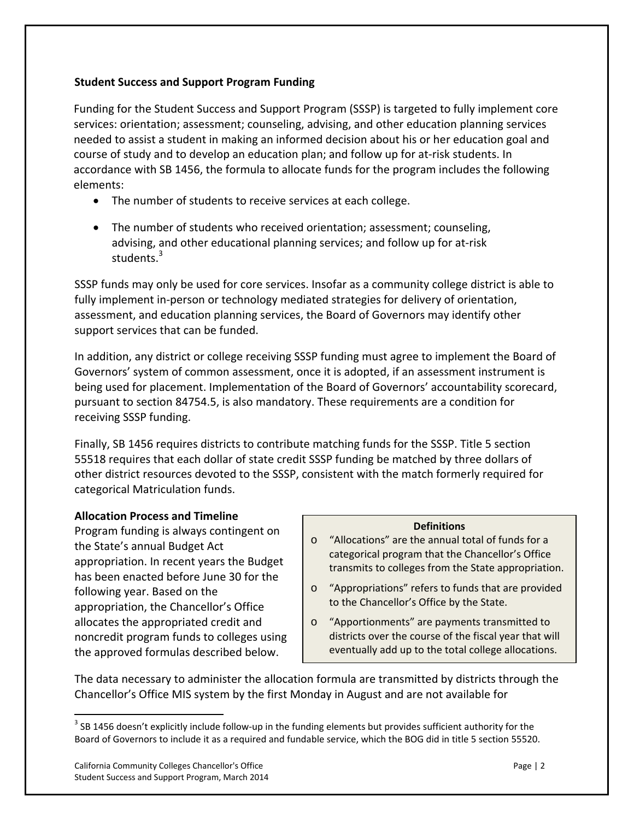# **Student Success and Support Program Funding**

Funding for the Student Success and Support Program (SSSP) is targeted to fully implement core services: orientation; assessment; counseling, advising, and other education planning services needed to assist a student in making an informed decision about his or her education goal and course of study and to develop an education plan; and follow up for at-risk students. In accordance with SB 1456, the formula to allocate funds for the program includes the following elements:

- The number of students to receive services at each college.
- The number of students who received orientation; assessment; counseling, advising, and other educational planning services; and follow up for at‐risk students.<sup>3</sup>

SSSP funds may only be used for core services. Insofar as a community college district is able to fully implement in‐person or technology mediated strategies for delivery of orientation, assessment, and education planning services, the Board of Governors may identify other support services that can be funded.

In addition, any district or college receiving SSSP funding must agree to implement the Board of Governors' system of common assessment, once it is adopted, if an assessment instrument is being used for placement. Implementation of the Board of Governors' accountability scorecard, pursuant to section 84754.5, is also mandatory. These requirements are a condition for receiving SSSP funding.

Finally, SB 1456 requires districts to contribute matching funds for the SSSP. Title 5 section 55518 requires that each dollar of state credit SSSP funding be matched by three dollars of other district resources devoted to the SSSP, consistent with the match formerly required for categorical Matriculation funds.

# **Allocation Process and Timeline**

Program funding is always contingent on the State's annual Budget Act appropriation. In recent years the Budget has been enacted before June 30 for the following year. Based on the appropriation, the Chancellor's Office allocates the appropriated credit and noncredit program funds to colleges using the approved formulas described below.

#### **Definitions**

- o "Allocations" are the annual total of funds for a categorical program that the Chancellor's Office transmits to colleges from the State appropriation.
- o "Appropriations" refers to funds that are provided to the Chancellor's Office by the State.
- o "Apportionments" are payments transmitted to districts over the course of the fiscal year that will eventually add up to the total college allocations.

The data necessary to administer the allocation formula are transmitted by districts through the Chancellor's Office MIS system by the first Monday in August and are not available for

 $3$  SB 1456 doesn't explicitly include follow-up in the funding elements but provides sufficient authority for the Board of Governors to include it as a required and fundable service, which the BOG did in title 5 section 55520.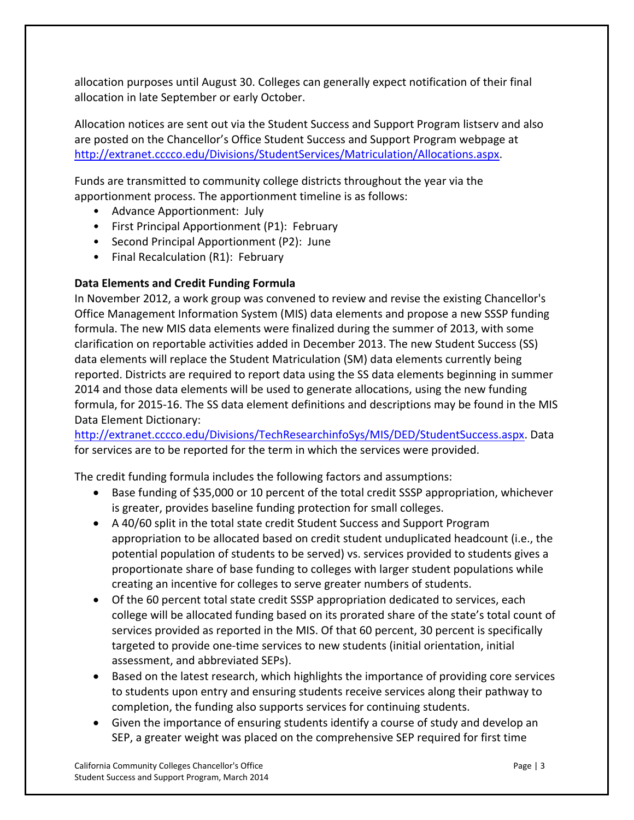allocation purposes until August 30. Colleges can generally expect notification of their final allocation in late September or early October.

Allocation notices are sent out via the Student Success and Support Program listserv and also are posted on the Chancellor's Office Student Success and Support Program webpage at http://extranet.cccco.edu/Divisions/StudentServices/Matriculation/Allocations.aspx.

Funds are transmitted to community college districts throughout the year via the apportionment process. The apportionment timeline is as follows:

- Advance Apportionment: July
- First Principal Apportionment (P1): February
- Second Principal Apportionment (P2): June
- Final Recalculation (R1): February

# **Data Elements and Credit Funding Formula**

In November 2012, a work group was convened to review and revise the existing Chancellor's Office Management Information System (MIS) data elements and propose a new SSSP funding formula. The new MIS data elements were finalized during the summer of 2013, with some clarification on reportable activities added in December 2013. The new Student Success (SS) data elements will replace the Student Matriculation (SM) data elements currently being reported. Districts are required to report data using the SS data elements beginning in summer 2014 and those data elements will be used to generate allocations, using the new funding formula, for 2015‐16. The SS data element definitions and descriptions may be found in the MIS Data Element Dictionary:

http://extranet.cccco.edu/Divisions/TechResearchinfoSys/MIS/DED/StudentSuccess.aspx. Data for services are to be reported for the term in which the services were provided.

The credit funding formula includes the following factors and assumptions:

- Base funding of \$35,000 or 10 percent of the total credit SSSP appropriation, whichever is greater, provides baseline funding protection for small colleges.
- A 40/60 split in the total state credit Student Success and Support Program appropriation to be allocated based on credit student unduplicated headcount (i.e., the potential population of students to be served) vs. services provided to students gives a proportionate share of base funding to colleges with larger student populations while creating an incentive for colleges to serve greater numbers of students.
- Of the 60 percent total state credit SSSP appropriation dedicated to services, each college will be allocated funding based on its prorated share of the state's total count of services provided as reported in the MIS. Of that 60 percent, 30 percent is specifically targeted to provide one‐time services to new students (initial orientation, initial assessment, and abbreviated SEPs).
- Based on the latest research, which highlights the importance of providing core services to students upon entry and ensuring students receive services along their pathway to completion, the funding also supports services for continuing students.
- Given the importance of ensuring students identify a course of study and develop an SEP, a greater weight was placed on the comprehensive SEP required for first time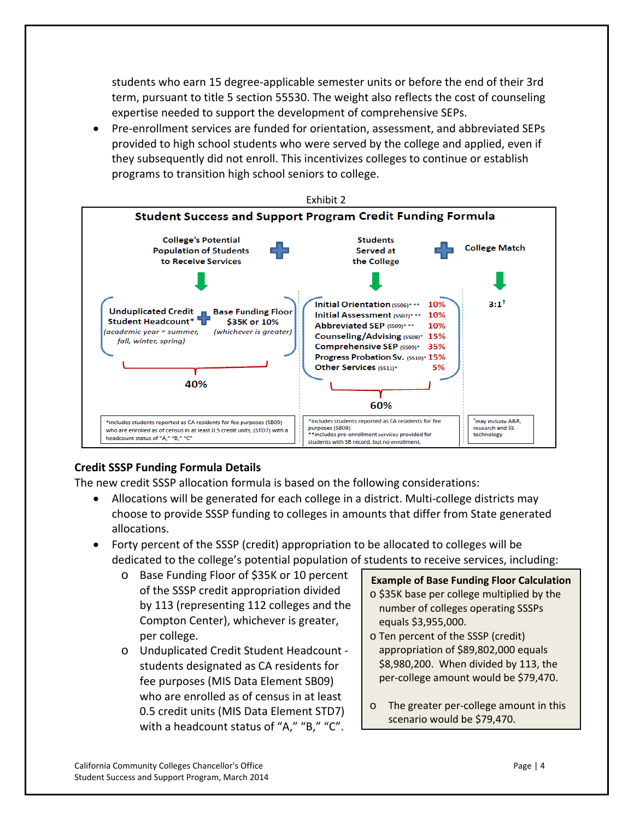students who earn 15 degree‐applicable semester units or before the end of their 3rd term, pursuant to title 5 section 55530. The weight also reflects the cost of counseling expertise needed to support the development of comprehensive SEPs.

 Pre‐enrollment services are funded for orientation, assessment, and abbreviated SEPs provided to high school students who were served by the college and applied, even if they subsequently did not enroll. This incentivizes colleges to continue or establish programs to transition high school seniors to college.



# **Credit SSSP Funding Formula Details**

The new credit SSSP allocation formula is based on the following considerations:

- Allocations will be generated for each college in a district. Multi-college districts may choose to provide SSSP funding to colleges in amounts that differ from State generated allocations.
- Forty percent of the SSSP (credit) appropriation to be allocated to colleges will be dedicated to the college's potential population of students to receive services, including:
	- o Base Funding Floor of \$35K or 10 percent of the SSSP credit appropriation divided by 113 (representing 112 colleges and the Compton Center), whichever is greater, per college.
	- o Unduplicated Credit Student Headcount ‐ students designated as CA residents for fee purposes (MIS Data Element SB09) who are enrolled as of census in at least 0.5 credit units (MIS Data Element STD7) with a headcount status of "A," "B," "C".

**Example of Base Funding Floor Calculation** o \$35K base per college multiplied by the number of colleges operating SSSPs equals \$3,955,000.

- o Ten percent of the SSSP (credit) appropriation of \$89,802,000 equals \$8,980,200. When divided by 113, the per-college amount would be \$79,470.
- o The greater per‐college amount in this scenario would be \$79,470.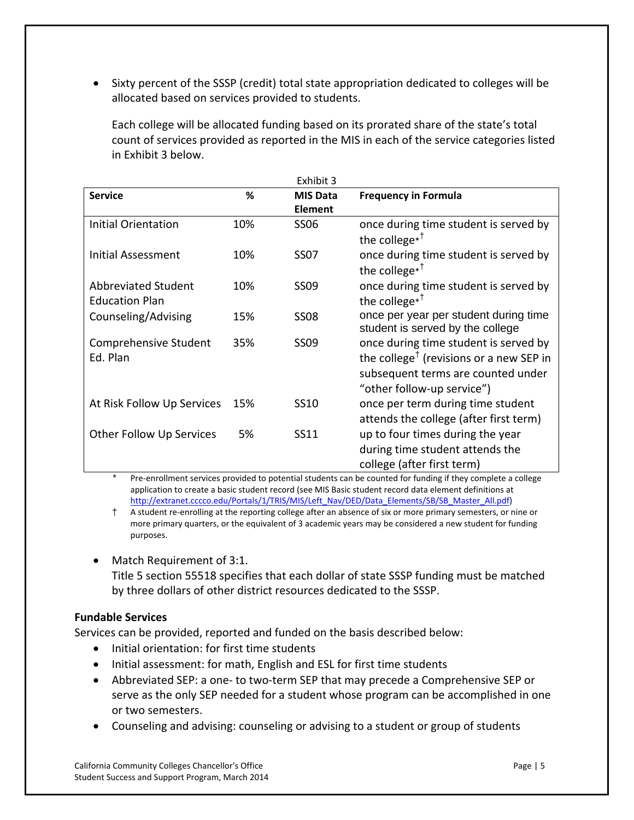Sixty percent of the SSSP (credit) total state appropriation dedicated to colleges will be allocated based on services provided to students.

Each college will be allocated funding based on its prorated share of the state's total count of services provided as reported in the MIS in each of the service categories listed in Exhibit 3 below.

| <b>Service</b>                               | ℅   | <b>MIS Data</b> | <b>Frequency in Formula</b>                                                                                                                                      |
|----------------------------------------------|-----|-----------------|------------------------------------------------------------------------------------------------------------------------------------------------------------------|
|                                              |     | <b>Element</b>  |                                                                                                                                                                  |
| <b>Initial Orientation</b>                   | 10% | <b>SS06</b>     | once during time student is served by<br>the college $*$ <sup>†</sup>                                                                                            |
| Initial Assessment                           | 10% | <b>SS07</b>     | once during time student is served by<br>the college $*$ <sup>†</sup>                                                                                            |
| Abbreviated Student<br><b>Education Plan</b> | 10% | <b>SS09</b>     | once during time student is served by<br>the college $*$ <sup>†</sup>                                                                                            |
| Counseling/Advising                          | 15% | <b>SS08</b>     | once per year per student during time<br>student is served by the college                                                                                        |
| Comprehensive Student<br>Ed. Plan            | 35% | SS09            | once during time student is served by<br>the college <sup>†</sup> (revisions or a new SEP in<br>subsequent terms are counted under<br>"other follow-up service") |
| At Risk Follow Up Services                   | 15% | SS10            | once per term during time student<br>attends the college (after first term)                                                                                      |
| <b>Other Follow Up Services</b>              | 5%  | SS11            | up to four times during the year<br>during time student attends the<br>college (after first term)                                                                |

Pre-enrollment services provided to potential students can be counted for funding if they complete a college application to create a basic student record (see MIS Basic student record data element definitions at http://extranet.cccco.edu/Portals/1/TRIS/MIS/Left\_Nav/DED/Data\_Elements/SB/SB\_Master\_All.pdf)

† A student re‐enrolling at the reporting college after an absence of six or more primary semesters, or nine or more primary quarters, or the equivalent of 3 academic years may be considered a new student for funding purposes.

• Match Requirement of 3:1.

Title 5 section 55518 specifies that each dollar of state SSSP funding must be matched by three dollars of other district resources dedicated to the SSSP.

# **Fundable Services**

Services can be provided, reported and funded on the basis described below:

- Initial orientation: for first time students
- Initial assessment: for math, English and ESL for first time students
- Abbreviated SEP: a one‐ to two‐term SEP that may precede a Comprehensive SEP or serve as the only SEP needed for a student whose program can be accomplished in one or two semesters.
- Counseling and advising: counseling or advising to a student or group of students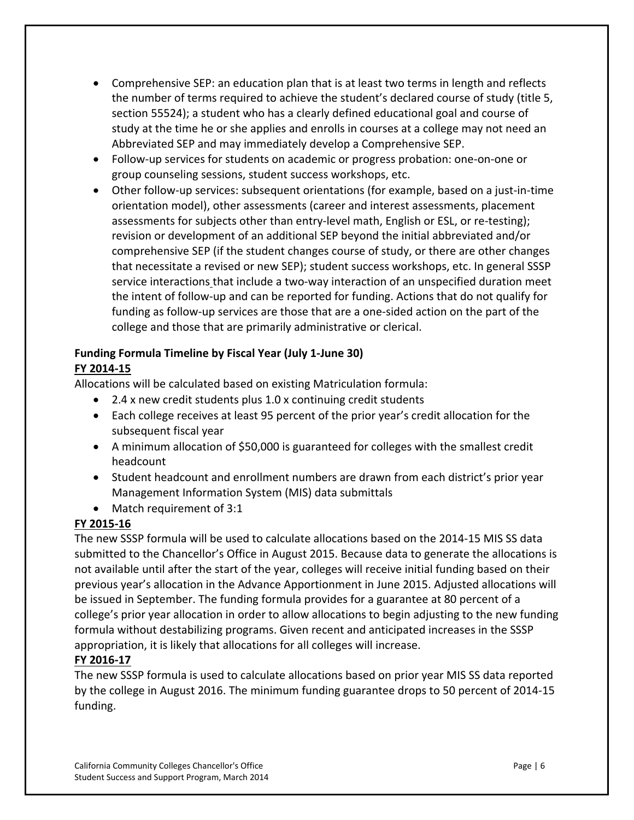- Comprehensive SEP: an education plan that is at least two terms in length and reflects the number of terms required to achieve the student's declared course of study (title 5, section 55524); a student who has a clearly defined educational goal and course of study at the time he or she applies and enrolls in courses at a college may not need an Abbreviated SEP and may immediately develop a Comprehensive SEP.
- Follow‐up services for students on academic or progress probation: one‐on‐one or group counseling sessions, student success workshops, etc.
- Other follow‐up services: subsequent orientations (for example, based on a just‐in‐time orientation model), other assessments (career and interest assessments, placement assessments for subjects other than entry-level math, English or ESL, or re-testing); revision or development of an additional SEP beyond the initial abbreviated and/or comprehensive SEP (if the student changes course of study, or there are other changes that necessitate a revised or new SEP); student success workshops, etc. In general SSSP service interactions that include a two‐way interaction of an unspecified duration meet the intent of follow‐up and can be reported for funding. Actions that do not qualify for funding as follow-up services are those that are a one-sided action on the part of the college and those that are primarily administrative or clerical.

# **Funding Formula Timeline by Fiscal Year (July 1‐June 30) FY 2014‐15**

Allocations will be calculated based on existing Matriculation formula:

- 2.4 x new credit students plus 1.0 x continuing credit students
- Each college receives at least 95 percent of the prior year's credit allocation for the subsequent fiscal year
- A minimum allocation of \$50,000 is guaranteed for colleges with the smallest credit headcount
- Student headcount and enrollment numbers are drawn from each district's prior year Management Information System (MIS) data submittals
- Match requirement of 3:1

# **FY 2015‐16**

The new SSSP formula will be used to calculate allocations based on the 2014‐15 MIS SS data submitted to the Chancellor's Office in August 2015. Because data to generate the allocations is not available until after the start of the year, colleges will receive initial funding based on their previous year's allocation in the Advance Apportionment in June 2015. Adjusted allocations will be issued in September. The funding formula provides for a guarantee at 80 percent of a college's prior year allocation in order to allow allocations to begin adjusting to the new funding formula without destabilizing programs. Given recent and anticipated increases in the SSSP appropriation, it is likely that allocations for all colleges will increase.

# **FY 2016‐17**

The new SSSP formula is used to calculate allocations based on prior year MIS SS data reported by the college in August 2016. The minimum funding guarantee drops to 50 percent of 2014‐15 funding.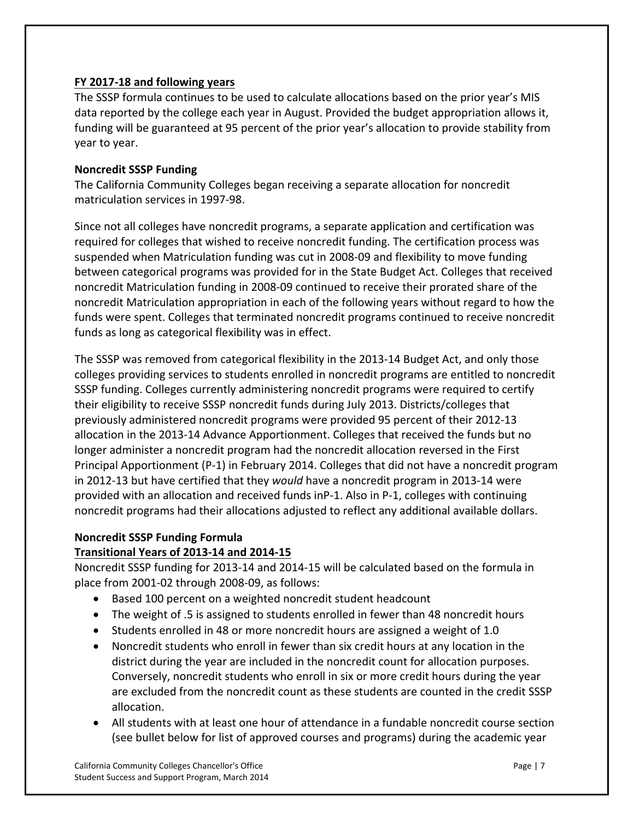# **FY 2017‐18 and following years**

The SSSP formula continues to be used to calculate allocations based on the prior year's MIS data reported by the college each year in August. Provided the budget appropriation allows it, funding will be guaranteed at 95 percent of the prior year's allocation to provide stability from year to year.

## **Noncredit SSSP Funding**

The California Community Colleges began receiving a separate allocation for noncredit matriculation services in 1997‐98.

Since not all colleges have noncredit programs, a separate application and certification was required for colleges that wished to receive noncredit funding. The certification process was suspended when Matriculation funding was cut in 2008‐09 and flexibility to move funding between categorical programs was provided for in the State Budget Act. Colleges that received noncredit Matriculation funding in 2008‐09 continued to receive their prorated share of the noncredit Matriculation appropriation in each of the following years without regard to how the funds were spent. Colleges that terminated noncredit programs continued to receive noncredit funds as long as categorical flexibility was in effect.

The SSSP was removed from categorical flexibility in the 2013‐14 Budget Act, and only those colleges providing services to students enrolled in noncredit programs are entitled to noncredit SSSP funding. Colleges currently administering noncredit programs were required to certify their eligibility to receive SSSP noncredit funds during July 2013. Districts/colleges that previously administered noncredit programs were provided 95 percent of their 2012‐13 allocation in the 2013‐14 Advance Apportionment. Colleges that received the funds but no longer administer a noncredit program had the noncredit allocation reversed in the First Principal Apportionment (P‐1) in February 2014. Colleges that did not have a noncredit program in 2012‐13 but have certified that they *would* have a noncredit program in 2013‐14 were provided with an allocation and received funds inP‐1. Also in P‐1, colleges with continuing noncredit programs had their allocations adjusted to reflect any additional available dollars.

# **Noncredit SSSP Funding Formula**

## **Transitional Years of 2013‐14 and 2014‐15**

Noncredit SSSP funding for 2013‐14 and 2014‐15 will be calculated based on the formula in place from 2001‐02 through 2008‐09, as follows:

- Based 100 percent on a weighted noncredit student headcount
- The weight of .5 is assigned to students enrolled in fewer than 48 noncredit hours
- Students enrolled in 48 or more noncredit hours are assigned a weight of 1.0
- Noncredit students who enroll in fewer than six credit hours at any location in the district during the year are included in the noncredit count for allocation purposes. Conversely, noncredit students who enroll in six or more credit hours during the year are excluded from the noncredit count as these students are counted in the credit SSSP allocation.
- All students with at least one hour of attendance in a fundable noncredit course section (see bullet below for list of approved courses and programs) during the academic year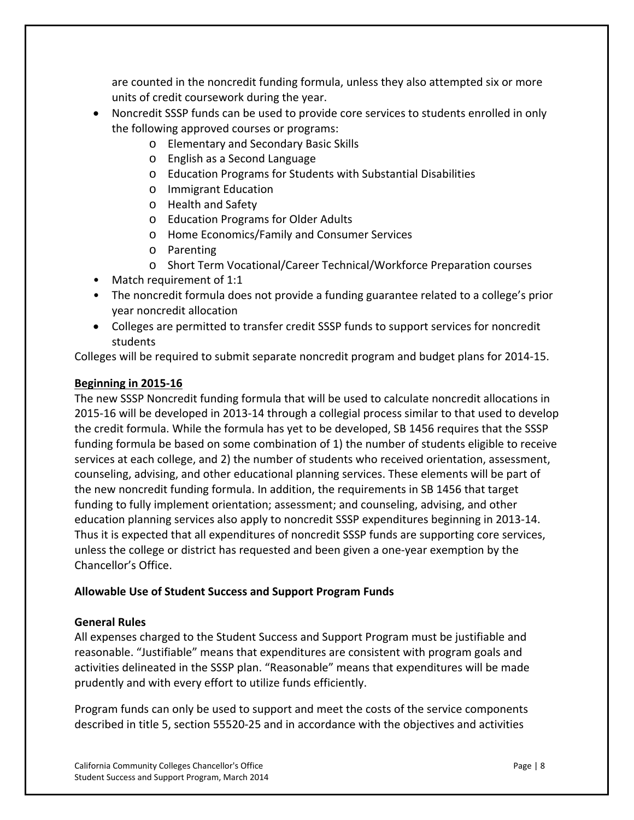are counted in the noncredit funding formula, unless they also attempted six or more units of credit coursework during the year.

- Noncredit SSSP funds can be used to provide core services to students enrolled in only the following approved courses or programs:
	- o Elementary and Secondary Basic Skills
	- o English as a Second Language
	- o Education Programs for Students with Substantial Disabilities
	- o Immigrant Education
	- o Health and Safety
	- o Education Programs for Older Adults
	- o Home Economics/Family and Consumer Services
	- o Parenting
	- o Short Term Vocational/Career Technical/Workforce Preparation courses
- Match requirement of 1:1
- The noncredit formula does not provide a funding guarantee related to a college's prior year noncredit allocation
- Colleges are permitted to transfer credit SSSP funds to support services for noncredit students

Colleges will be required to submit separate noncredit program and budget plans for 2014‐15.

#### **Beginning in 2015‐16**

The new SSSP Noncredit funding formula that will be used to calculate noncredit allocations in 2015‐16 will be developed in 2013‐14 through a collegial process similar to that used to develop the credit formula. While the formula has yet to be developed, SB 1456 requires that the SSSP funding formula be based on some combination of 1) the number of students eligible to receive services at each college, and 2) the number of students who received orientation, assessment, counseling, advising, and other educational planning services. These elements will be part of the new noncredit funding formula. In addition, the requirements in SB 1456 that target funding to fully implement orientation; assessment; and counseling, advising, and other education planning services also apply to noncredit SSSP expenditures beginning in 2013‐14. Thus it is expected that all expenditures of noncredit SSSP funds are supporting core services, unless the college or district has requested and been given a one‐year exemption by the Chancellor's Office.

#### **Allowable Use of Student Success and Support Program Funds**

#### **General Rules**

All expenses charged to the Student Success and Support Program must be justifiable and reasonable. "Justifiable" means that expenditures are consistent with program goals and activities delineated in the SSSP plan. "Reasonable" means that expenditures will be made prudently and with every effort to utilize funds efficiently.

Program funds can only be used to support and meet the costs of the service components described in title 5, section 55520‐25 and in accordance with the objectives and activities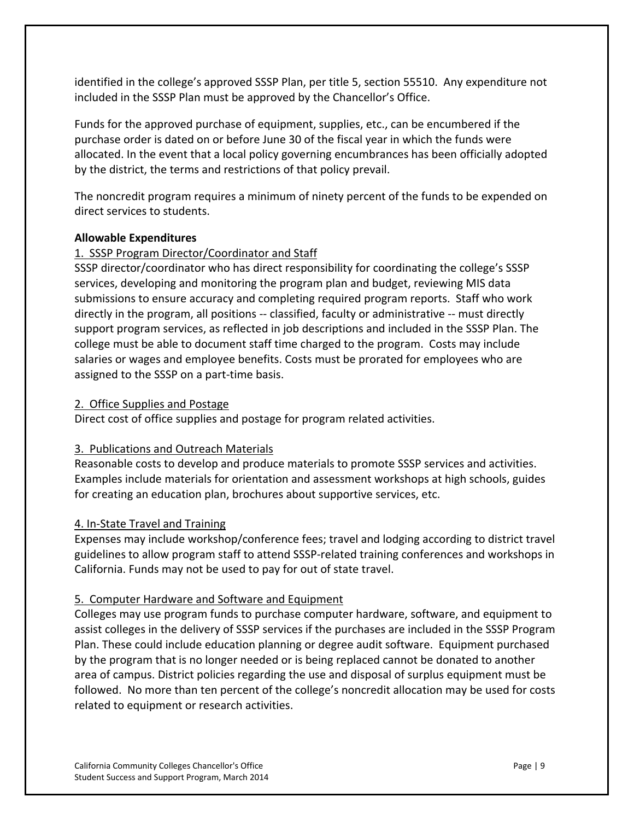identified in the college's approved SSSP Plan, per title 5, section 55510. Any expenditure not included in the SSSP Plan must be approved by the Chancellor's Office.

Funds for the approved purchase of equipment, supplies, etc., can be encumbered if the purchase order is dated on or before June 30 of the fiscal year in which the funds were allocated. In the event that a local policy governing encumbrances has been officially adopted by the district, the terms and restrictions of that policy prevail.

The noncredit program requires a minimum of ninety percent of the funds to be expended on direct services to students.

# **Allowable Expenditures**

# 1. SSSP Program Director/Coordinator and Staff

SSSP director/coordinator who has direct responsibility for coordinating the college's SSSP services, developing and monitoring the program plan and budget, reviewing MIS data submissions to ensure accuracy and completing required program reports. Staff who work directly in the program, all positions ‐‐ classified, faculty or administrative ‐‐ must directly support program services, as reflected in job descriptions and included in the SSSP Plan. The college must be able to document staff time charged to the program. Costs may include salaries or wages and employee benefits. Costs must be prorated for employees who are assigned to the SSSP on a part‐time basis.

# 2. Office Supplies and Postage

Direct cost of office supplies and postage for program related activities.

# 3. Publications and Outreach Materials

Reasonable costs to develop and produce materials to promote SSSP services and activities. Examples include materials for orientation and assessment workshops at high schools, guides for creating an education plan, brochures about supportive services, etc.

# 4. In‐State Travel and Training

Expenses may include workshop/conference fees; travel and lodging according to district travel guidelines to allow program staff to attend SSSP‐related training conferences and workshops in California. Funds may not be used to pay for out of state travel.

# 5. Computer Hardware and Software and Equipment

Colleges may use program funds to purchase computer hardware, software, and equipment to assist colleges in the delivery of SSSP services if the purchases are included in the SSSP Program Plan. These could include education planning or degree audit software. Equipment purchased by the program that is no longer needed or is being replaced cannot be donated to another area of campus. District policies regarding the use and disposal of surplus equipment must be followed. No more than ten percent of the college's noncredit allocation may be used for costs related to equipment or research activities.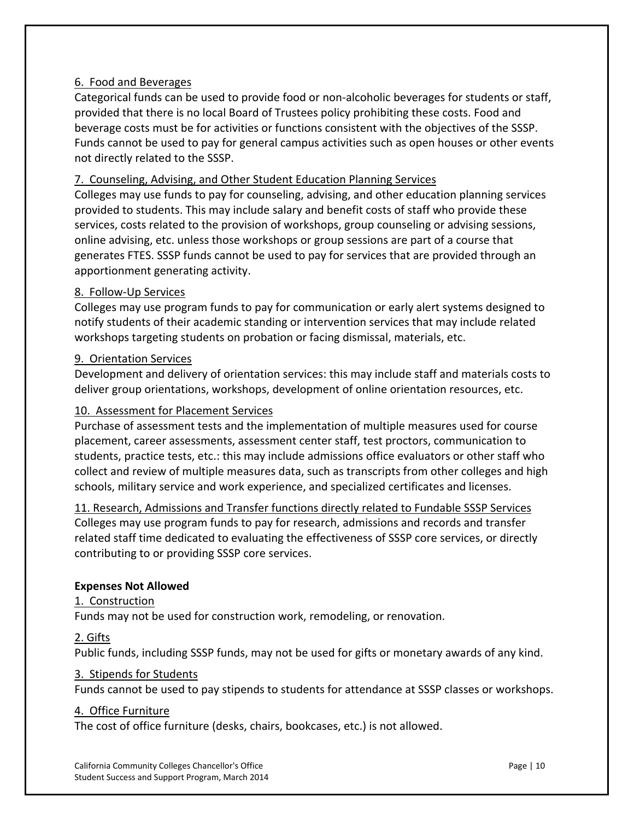# 6. Food and Beverages

Categorical funds can be used to provide food or non‐alcoholic beverages for students or staff, provided that there is no local Board of Trustees policy prohibiting these costs. Food and beverage costs must be for activities or functions consistent with the objectives of the SSSP. Funds cannot be used to pay for general campus activities such as open houses or other events not directly related to the SSSP.

# 7. Counseling, Advising, and Other Student Education Planning Services

Colleges may use funds to pay for counseling, advising, and other education planning services provided to students. This may include salary and benefit costs of staff who provide these services, costs related to the provision of workshops, group counseling or advising sessions, online advising, etc. unless those workshops or group sessions are part of a course that generates FTES. SSSP funds cannot be used to pay for services that are provided through an apportionment generating activity.

#### 8. Follow‐Up Services

Colleges may use program funds to pay for communication or early alert systems designed to notify students of their academic standing or intervention services that may include related workshops targeting students on probation or facing dismissal, materials, etc.

#### 9. Orientation Services

Development and delivery of orientation services: this may include staff and materials costs to deliver group orientations, workshops, development of online orientation resources, etc.

#### 10. Assessment for Placement Services

Purchase of assessment tests and the implementation of multiple measures used for course placement, career assessments, assessment center staff, test proctors, communication to students, practice tests, etc.: this may include admissions office evaluators or other staff who collect and review of multiple measures data, such as transcripts from other colleges and high schools, military service and work experience, and specialized certificates and licenses.

11. Research, Admissions and Transfer functions directly related to Fundable SSSP Services Colleges may use program funds to pay for research, admissions and records and transfer related staff time dedicated to evaluating the effectiveness of SSSP core services, or directly contributing to or providing SSSP core services.

#### **Expenses Not Allowed**

#### 1. Construction

Funds may not be used for construction work, remodeling, or renovation.

#### 2. Gifts

Public funds, including SSSP funds, may not be used for gifts or monetary awards of any kind.

#### 3. Stipends for Students

Funds cannot be used to pay stipends to students for attendance at SSSP classes or workshops.

#### 4. Office Furniture

The cost of office furniture (desks, chairs, bookcases, etc.) is not allowed.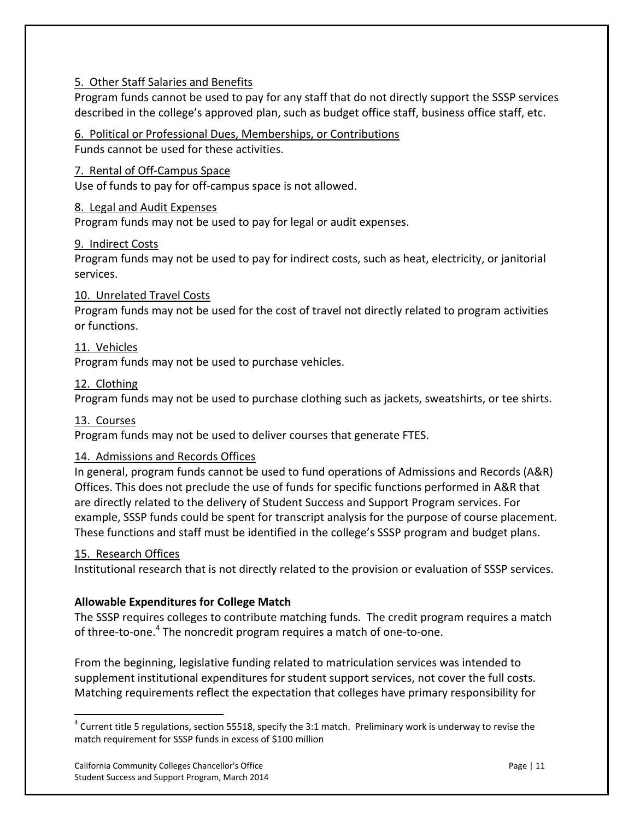# 5. Other Staff Salaries and Benefits

Program funds cannot be used to pay for any staff that do not directly support the SSSP services described in the college's approved plan, such as budget office staff, business office staff, etc.

# 6. Political or Professional Dues, Memberships, or Contributions

Funds cannot be used for these activities.

## 7. Rental of Off‐Campus Space

Use of funds to pay for off‐campus space is not allowed.

#### 8. Legal and Audit Expenses

Program funds may not be used to pay for legal or audit expenses.

#### 9. Indirect Costs

Program funds may not be used to pay for indirect costs, such as heat, electricity, or janitorial services.

#### 10. Unrelated Travel Costs

Program funds may not be used for the cost of travel not directly related to program activities or functions.

#### 11. Vehicles

Program funds may not be used to purchase vehicles.

#### 12. Clothing

Program funds may not be used to purchase clothing such as jackets, sweatshirts, or tee shirts.

#### 13. Courses

Program funds may not be used to deliver courses that generate FTES.

#### 14. Admissions and Records Offices

In general, program funds cannot be used to fund operations of Admissions and Records (A&R) Offices. This does not preclude the use of funds for specific functions performed in A&R that are directly related to the delivery of Student Success and Support Program services. For example, SSSP funds could be spent for transcript analysis for the purpose of course placement. These functions and staff must be identified in the college's SSSP program and budget plans.

#### 15. Research Offices

Institutional research that is not directly related to the provision or evaluation of SSSP services.

#### **Allowable Expenditures for College Match**

The SSSP requires colleges to contribute matching funds. The credit program requires a match of three-to-one.<sup>4</sup> The noncredit program requires a match of one-to-one.

From the beginning, legislative funding related to matriculation services was intended to supplement institutional expenditures for student support services, not cover the full costs. Matching requirements reflect the expectation that colleges have primary responsibility for

 $^4$  Current title 5 regulations, section 55518, specify the 3:1 match. Preliminary work is underway to revise the match requirement for SSSP funds in excess of \$100 million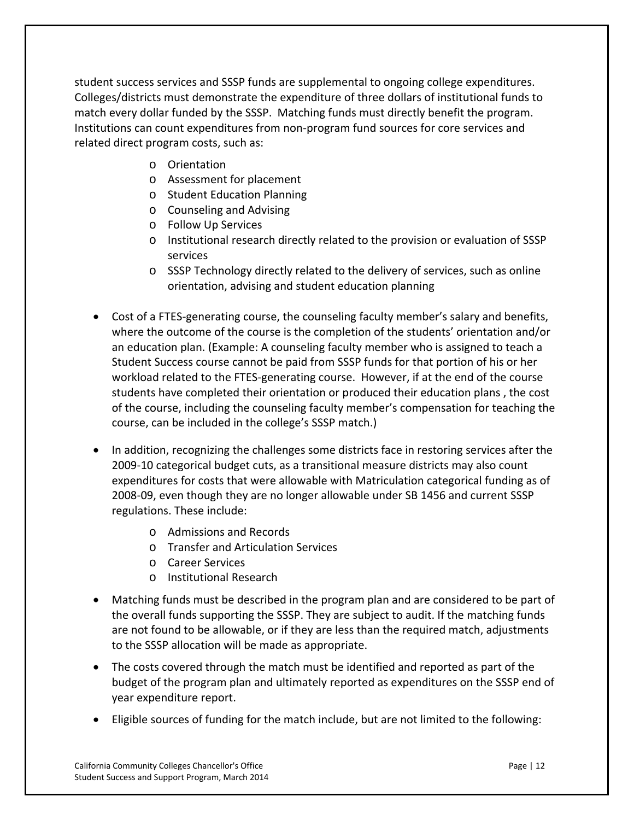student success services and SSSP funds are supplemental to ongoing college expenditures. Colleges/districts must demonstrate the expenditure of three dollars of institutional funds to match every dollar funded by the SSSP. Matching funds must directly benefit the program. Institutions can count expenditures from non‐program fund sources for core services and related direct program costs, such as:

- o Orientation
- o Assessment for placement
- o Student Education Planning
- o Counseling and Advising
- o Follow Up Services
- o Institutional research directly related to the provision or evaluation of SSSP services
- o SSSP Technology directly related to the delivery of services, such as online orientation, advising and student education planning
- Cost of a FTES-generating course, the counseling faculty member's salary and benefits, where the outcome of the course is the completion of the students' orientation and/or an education plan. (Example: A counseling faculty member who is assigned to teach a Student Success course cannot be paid from SSSP funds for that portion of his or her workload related to the FTES‐generating course. However, if at the end of the course students have completed their orientation or produced their education plans , the cost of the course, including the counseling faculty member's compensation for teaching the course, can be included in the college's SSSP match.)
- In addition, recognizing the challenges some districts face in restoring services after the 2009‐10 categorical budget cuts, as a transitional measure districts may also count expenditures for costs that were allowable with Matriculation categorical funding as of 2008‐09, even though they are no longer allowable under SB 1456 and current SSSP regulations. These include:
	- o Admissions and Records
	- o Transfer and Articulation Services
	- o Career Services
	- o Institutional Research
- Matching funds must be described in the program plan and are considered to be part of the overall funds supporting the SSSP. They are subject to audit. If the matching funds are not found to be allowable, or if they are less than the required match, adjustments to the SSSP allocation will be made as appropriate.
- The costs covered through the match must be identified and reported as part of the budget of the program plan and ultimately reported as expenditures on the SSSP end of year expenditure report.
- Eligible sources of funding for the match include, but are not limited to the following: